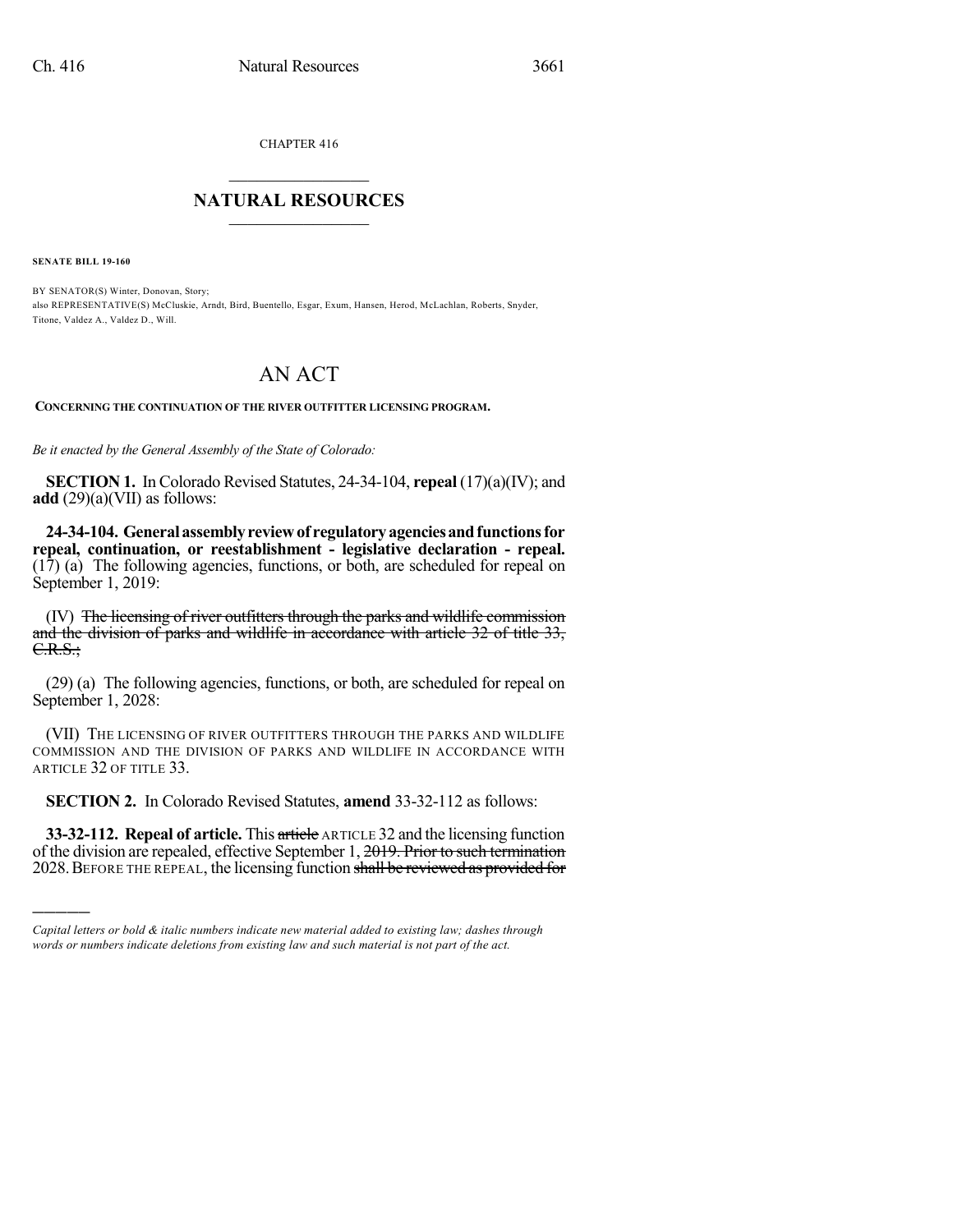CHAPTER 416

## $\mathcal{L}_\text{max}$  . The set of the set of the set of the set of the set of the set of the set of the set of the set of the set of the set of the set of the set of the set of the set of the set of the set of the set of the set **NATURAL RESOURCES**  $\frac{1}{\sqrt{2}}$  , where  $\frac{1}{\sqrt{2}}$  ,  $\frac{1}{\sqrt{2}}$  ,  $\frac{1}{\sqrt{2}}$

**SENATE BILL 19-160**

)))))

BY SENATOR(S) Winter, Donovan, Story; also REPRESENTATIVE(S) McCluskie, Arndt, Bird, Buentello, Esgar, Exum, Hansen, Herod, McLachlan, Roberts, Snyder, Titone, Valdez A., Valdez D., Will.

## AN ACT

**CONCERNING THE CONTINUATION OF THE RIVER OUTFITTER LICENSING PROGRAM.**

*Be it enacted by the General Assembly of the State of Colorado:*

**SECTION 1.** In Colorado Revised Statutes, 24-34-104, **repeal** (17)(a)(IV); and **add** (29)(a)(VII) as follows:

**24-34-104. Generalassemblyreviewof regulatoryagenciesandfunctionsfor repeal, continuation, or reestablishment - legislative declaration - repeal.** (17) (a) The following agencies, functions, or both, are scheduled for repeal on September 1, 2019:

(IV) The licensing of river outfitters through the parks and wildlife commission and the division of parks and wildlife in accordance with article 32 of title 33, C.R.S.;

(29) (a) The following agencies, functions, or both, are scheduled for repeal on September 1, 2028:

(VII) THE LICENSING OF RIVER OUTFITTERS THROUGH THE PARKS AND WILDLIFE COMMISSION AND THE DIVISION OF PARKS AND WILDLIFE IN ACCORDANCE WITH ARTICLE 32 OF TITLE 33.

**SECTION 2.** In Colorado Revised Statutes, **amend** 33-32-112 as follows:

**33-32-112. Repeal of article.** This article ARTICLE 32 and the licensing function of the division are repealed, effective September 1, 2019. Prior to such termination 2028.BEFORE THE REPEAL, the licensing function shall be reviewed as provided for

*Capital letters or bold & italic numbers indicate new material added to existing law; dashes through words or numbers indicate deletions from existing law and such material is not part of the act.*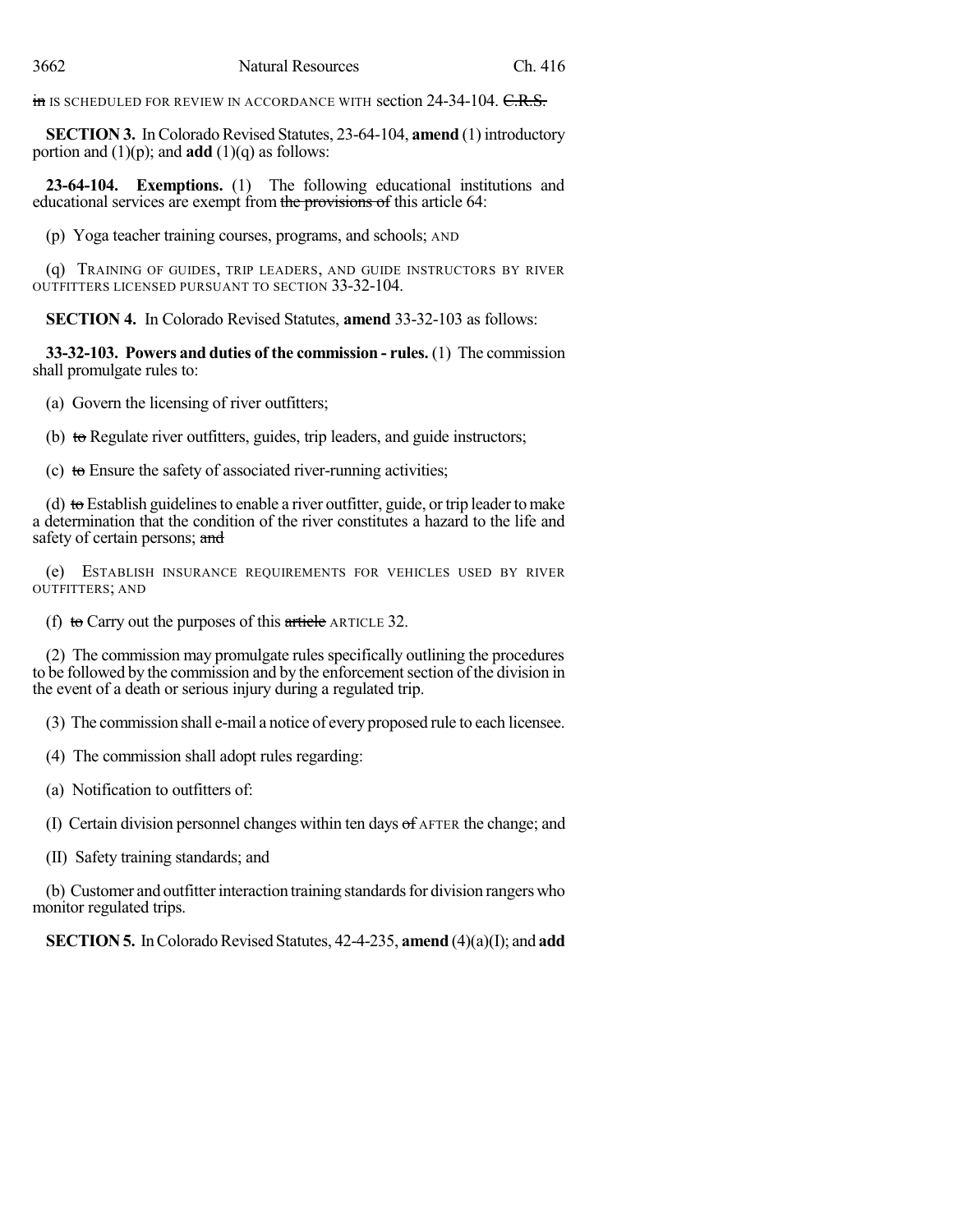in IS SCHEDULED FOR REVIEW IN ACCORDANCE WITH section 24-34-104. C.R.S.

**SECTION 3.** In Colorado Revised Statutes, 23-64-104, **amend** (1) introductory portion and  $(1)(p)$ ; and **add**  $(1)(q)$  as follows:

**23-64-104. Exemptions.** (1) The following educational institutions and educational services are exempt from the provisions of this article 64:

(p) Yoga teacher training courses, programs, and schools; AND

(q) TRAINING OF GUIDES, TRIP LEADERS, AND GUIDE INSTRUCTORS BY RIVER OUTFITTERS LICENSED PURSUANT TO SECTION 33-32-104.

**SECTION 4.** In Colorado Revised Statutes, **amend** 33-32-103 as follows:

**33-32-103. Powers and duties of the commission - rules.** (1) The commission shall promulgate rules to:

(a) Govern the licensing of river outfitters;

(b) to Regulate river outfitters, guides, trip leaders, and guide instructors;

(c) to Ensure the safety of associated river-running activities;

(d) to Establish guidelines to enable a river outfitter, guide, or trip leader to make a determination that the condition of the river constitutes a hazard to the life and safety of certain persons; and

(e) ESTABLISH INSURANCE REQUIREMENTS FOR VEHICLES USED BY RIVER OUTFITTERS; AND

(f) to Carry out the purposes of this article ARTICLE 32.

(2) The commission may promulgate rules specifically outlining the procedures to be followed by the commission and by the enforcement section of the division in the event of a death or serious injury during a regulated trip.

(3) The commission shall e-mail a notice of every proposed rule to each licensee.

(4) The commission shall adopt rules regarding:

(a) Notification to outfitters of:

(I) Certain division personnel changes within ten days of AFTER the change; and

(II) Safety training standards; and

(b) Customer and outfitter interaction training standards for division rangers who monitor regulated trips.

**SECTION 5.** In Colorado Revised Statutes, 42-4-235, **amend** (4)(a)(I); and **add**